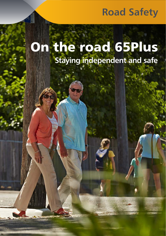# Road Safety

# **On the road 65Plus** Staying independent and safe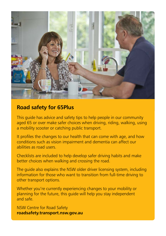

#### Road safety for 65Plus

This guide has advice and safety tips to help people in our community aged 65 or over make safer choices when driving, riding, walking, using a mobility scooter or catching public transport.

It profiles the changes to our health that can come with age, and how conditions such as vision impairment and dementia can affect our abilities as road users.

Checklists are included to help develop safer driving habits and make better choices when walking and crossing the road.

The guide also explains the NSW older driver licensing system, including information for those who want to transition from full-time driving to other transport options.

Whether you're currently experiencing changes to your mobility or planning for the future, this guide will help you stay independent and safe.

NSW Centre for Road Safety roadsafety.transport.nsw.gov.au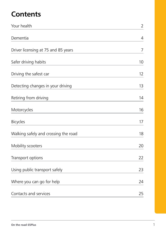## **Contents**

| Your health                          | $\overline{2}$ |
|--------------------------------------|----------------|
| Dementia                             | 4              |
| Driver licensing at 75 and 85 years  | 7              |
| Safer driving habits                 | 10             |
| Driving the safest car               | 12             |
| Detecting changes in your driving    | 13             |
| Retiring from driving                | 14             |
| Motorcycles                          | 16             |
| <b>Bicycles</b>                      | 17             |
| Walking safely and crossing the road | 18             |
| Mobility scooters                    | 20             |
| Transport options                    | 22             |
| Using public transport safely        | 23             |
| Where you can go for help            | 24             |
| Contacts and services                | 25             |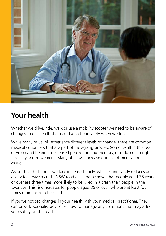<span id="page-3-0"></span>

## Your health

Whether we drive, ride, walk or use a mobility scooter we need to be aware of changes to our health that could affect our safety when we travel.

While many of us will experience different levels of change, there are common medical conditions that are part of the ageing process. Some result in the loss of vision and hearing, decreased perception and memory, or reduced strength, flexibility and movement. Many of us will increase our use of medications as well.

As our health changes we face increased frailty, which significantly reduces our ability to survive a crash. NSW road crash data shows that people aged 75 years or over are three times more likely to be killed in a crash than people in their twenties. This risk increases for people aged 85 or over, who are at least four times more likely to be killed.

If you've noticed changes in your health, visit your medical practitioner. They can provide specialist advice on how to manage any conditions that may affect your safety on the road.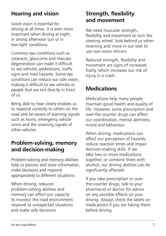## Hearing and vision

Good vision is essential for driving at all times. It is even more important when driving at night, in strong afternoon sun or in low-light conditions.

Common eye conditions such as cataracts, glaucoma and macular degeneration can make it difficult to see vehicles, pedestrians, traffic signs and road hazards. Some eye conditions can reduce our side vision, making it difficult to see vehicles or people that are not directly in front of us.

Being able to hear clearly enables us to respond correctly to others on the road and be aware of warning signals such as horns, emergency vehicle sirens and the reversing signals of other vehicles.

### Problem-solving, memory and decision-making

Problem-solving and memory abilities help us process and store information, make decisions and respond appropriately to different situations.

When driving, reduced problem-solving abilities and memory can affect our capacity to monitor the road environment, respond to unexpected situations and make safe decisions.

## Strength, flexibility and movement

We need muscular strength. flexibility and movement to turn the steering wheel, look behind us when reversing and move in our seat to use rear-vision mirrors.

Reduced strength, flexibility and movement are signs of increased frailty, which increases our risk of injury in a crash.

## **Medications**

Medications help many people maintain good health and quality of life. However, some prescription and over-the-counter drugs can affect our coordination, mental alertness, mood and behaviour.

When driving, medications can affect our perception of hazards, reduce reaction times and impair decision-making skills. If we take two or more medications together, or combine them with alcohol, our driving abilities can be significantly affected.

If you take prescription or overthe-counter drugs, talk to your pharmacist or doctor for advice on any possible effects on your driving. Always check the labels on medications if you are taking them before driving.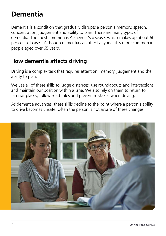## <span id="page-5-0"></span>**Dementia**

Dementia is a condition that gradually disrupts a person's memory, speech, concentration, judgement and ability to plan. There are many types of dementia. The most common is Alzheimer's disease, which makes up about 60 per cent of cases. Although dementia can affect anyone, it is more common in people aged over 65 years.

### How dementia affects driving

Driving is a complex task that requires attention, memory, judgement and the ability to plan.

We use all of these skills to judge distances, use roundabouts and intersections, and maintain our position within a lane. We also rely on them to return to familiar places, follow road rules and prevent mistakes when driving.

As dementia advances, these skills decline to the point where a person's ability to drive becomes unsafe. Often the person is not aware of these changes.

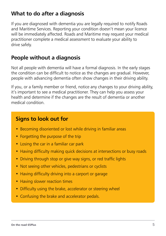## What to do after a diagnosis

If you are diagnosed with dementia you are legally required to notify Roads and Maritime Services. Reporting your condition doesn't mean your licence will be immediately affected. Roads and Maritime may request your medical practitioner complete a medical assessment to evaluate your ability to drive safely.

### People without a diagnosis

Not all people with dementia will have a formal diagnosis. In the early stages the condition can be difficult to notice as the changes are gradual. However, people with advancing dementia often show changes in their driving ability.

If you, or a family member or friend, notice any changes to your driving ability, it's important to see a medical practitioner. They can help you assess your health and determine if the changes are the result of dementia or another medical condition.

#### Signs to look out for

- Becoming disoriented or lost while driving in familiar areas
- Forgetting the purpose of the trip
- Losing the car in a familiar car park
- Having difficulty making quick decisions at intersections or busy roads
- Driving through stop or give way signs, or red traffic lights
- Not seeing other vehicles, pedestrians or cyclists
- Having difficulty driving into a carport or garage
- Having slower reaction times
- Difficulty using the brake, accelerator or steering wheel
- Confusing the brake and accelerator pedals.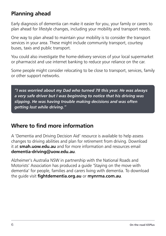## Planning ahead

Early diagnosis of dementia can make it easier for you, your family or carers to plan ahead for lifestyle changes, including your mobility and transport needs.

One way to plan ahead to maintain your mobility is to consider the transport services in your area. These might include community transport, courtesy buses, taxis and public transport.

You could also investigate the home-delivery services of your local supermarket or pharmacist and use internet banking to reduce your reliance on the car.

Some people might consider relocating to be close to transport, services, family or other support networks.

*"I was worried about my Dad who turned 78 this year. He was always a very safe driver but I was beginning to notice that his driving was slipping. He was having trouble making decisions and was often getting lost while driving."*

### Where to find more information

A 'Dementia and Driving Decision Aid' resource is available to help assess changes to driving abilities and plan for retirement from driving. Download it at **smah.uow.edu.au** and for more information and resources email dementia-driving@uow.edu.au.

Alzheimer's Australia NSW in partnership with the National Roads and Motorists' Association has produced a guide 'Staying on the move with dementia' for people, families and carers living with dementia. To download the quide visit **fightdementia.org.au** or **mynrma.com.au**.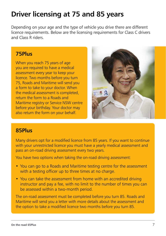## <span id="page-8-0"></span>Driver licensing at 75 and 85 years

Depending on your age and the type of vehicle you drive there are different licence requirements. Below are the licensing requirements for Class C drivers and Class R riders.

#### 75Plus

When you reach 75 years of age you are required to have a medical assessment every year to keep your licence. Two months before you turn 75, Roads and Maritime will send you a form to take to your doctor. When the medical assessment is completed, return the form to a Roads and Maritime registry or Service NSW centre before your birthday. Your doctor may also return the form on your behalf.



#### 85Plus

Many drivers opt for a modified licence from 85 years. If you want to continue with your unrestricted licence you must have a yearly medical assessment and pass an on-road driving assessment every two years.

You have two options when taking the on-road driving assessment:

- You can go to a Roads and Maritime testing centre for the assessment with a testing officer up to three times at no charge.
- You can take the assessment from home with an accredited driving instructor and pay a fee, with no limit to the number of times you can be assessed within a two-month period.

The on-road assessment must be completed before you turn 85. Roads and Maritime will send you a letter with more details about the assessment and the option to take a modified licence two months before you turn 85.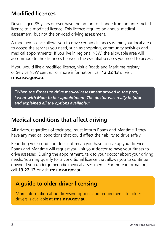## Modified licences

Drivers aged 85 years or over have the option to change from an unrestricted licence to a modified licence. This licence requires an annual medical assessment, but not the on-road driving assessment.

A modified licence allows you to drive certain distances within your local area to access the services you need, such as shopping, community activities and medical appointments. If you live in regional NSW, the allowable area will accommodate the distances between the essential services you need to access.

If you would like a modified licence, visit a Roads and Maritime registry or Service NSW centre. For more information, call 13 22 13 or visit rms.nsw.gov.au.

*"When the fitness to drive medical assessment arrived in the post, I went with Mum to her appointment. The doctor was really helpful and explained all the options available."*

## Medical conditions that affect driving

All drivers, regardless of their age, must inform Roads and Maritime if they have any medical conditions that could affect their ability to drive safely.

Reporting your condition does not mean you have to give up your licence. Roads and Maritime will request you visit your doctor to have your fitness to drive assessed. During the appointment, talk to your doctor about your driving needs. You may qualify for a conditional licence that allows you to continue driving if you undergo periodic medical assessments. For more information, call 13 22 13 or visit rms.nsw.gov.au.

### A guide to older driver licensing

More information about licensing options and requirements for older drivers is available at **rms.nsw.gov.au**.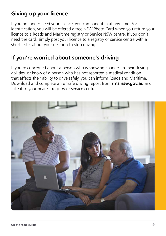## Giving up your licence

If you no longer need your licence, you can hand it in at any time. For identification, you will be offered a free NSW Photo Card when you return your licence to a Roads and Maritime registry or Service NSW centre. If you don't need the card, simply post your licence to a registry or service centre with a short letter about your decision to stop driving.

### If you're worried about someone's driving

If you're concerned about a person who is showing changes in their driving abilities, or know of a person who has not reported a medical condition that affects their ability to drive safely, you can inform Roads and Maritime. Download and complete an unsafe driving report from **rms.nsw.gov.au** and take it to your nearest registry or service centre.

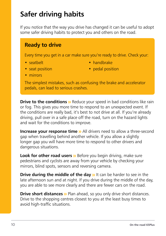## <span id="page-11-0"></span>Safer driving habits

If you notice that the way you drive has changed it can be useful to adopt some safer driving habits to protect you and others on the road.

#### Ready to drive

Every time you get in a car make sure you're ready to drive. Check your:

• seatbelt

• handbrake

• seat position

• pedal position

• mirrors

The simplest mistakes, such as confusing the brake and accelerator pedals, can lead to serious crashes.

**Drive to the conditions >>** Reduce your speed in bad conditions like rain or fog. This gives you more time to respond to an unexpected event. If the conditions are really bad, it's best to not drive at all. If you're already driving, pull over in a safe place off the road, turn on the hazard lights and wait for the conditions to improve.

**Increase your response time »** All drivers need to allow a three-second gap when travelling behind another vehicle. If you allow a slightly longer gap you will have more time to respond to other drivers and dangerous situations.

Look for other road users » Before you begin driving, make sure pedestrians and cyclists are away from your vehicle by checking your mirrors, blind spots, sensors and reversing camera.

**Drive during the middle of the day**  $\boldsymbol{v}$  It can be harder to see in the late afternoon sun and at night. If you drive during the middle of the day, you are able to see more clearly and there are fewer cars on the road.

**Drive short distances »** Plan ahead, so you only drive short distances. Drive to the shopping centres closest to you at the least busy times to avoid high-traffic situations.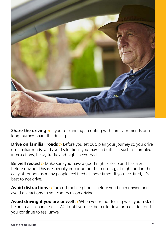

**Share the driving »** If you're planning an outing with family or friends or a long journey, share the driving.

**Drive on familiar roads »** Before you set out, plan your journey so you drive on familiar roads, and avoid situations you may find difficult such as complex intersections, heavy traffic and high speed roads.

Be well rested **M** Make sure you have a good night's sleep and feel alert before driving. This is especially important in the morning, at night and in the early afternoon as many people feel tired at these times. If you feel tired, it's best to not drive.

**Avoid distractions »** Turn off mobile phones before you begin driving and avoid distractions so you can focus on driving.

Avoid driving if you are unwell » When you're not feeling well, your risk of being in a crash increases. Wait until you feel better to drive or see a doctor if you continue to feel unwell.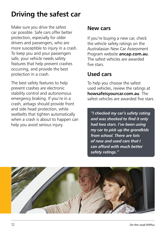## <span id="page-13-0"></span>Driving the safest car

Make sure you drive the safest car possible. Safe cars offer better protection, especially for older drivers and passengers, who are more susceptible to injury in a crash. To keep you and your passengers safe, your vehicle needs safety features that help prevent crashes occurring, and provide the best protection in a crash.

The best safety features to help prevent crashes are electronic stability control and autonomous emergency braking. If you're in a crash, airbags should provide front and side head protection, while seatbelts that tighten automatically when a crash is about to happen can help you avoid serious injury.

#### New cars

If you're buying a new car, check the vehicle safety ratings on the Australasian New Car Assessment Program website ancap.com.au. The safest vehicles are awarded five stars.

## Used cars

To help you choose the safest used vehicles, review the ratings at howsafeisyourcar.com.au. The safest vehicles are awarded five stars.

*"I checked my car's safety rating and was shocked to find it only had two stars. I've been using my car to pick up the grandkids from school. There are lots of new and used cars that I can afford with much better safety ratings."*

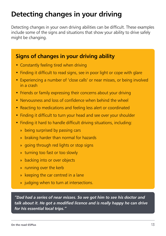## <span id="page-14-0"></span>Detecting changes in your driving

Detecting changes in your own driving abilities can be difficult. These examples include some of the signs and situations that show your ability to drive safely might be changing.

#### Signs of changes in your driving ability

- Constantly feeling tired when driving
- Finding it difficult to read signs, see in poor light or cope with glare
- Experiencing a number of 'close calls' or near misses, or being involved in a crash
- Friends or family expressing their concerns about your driving
- Nervousness and loss of confidence when behind the wheel
- Reacting to medications and feeling less alert or coordinated
- Finding it difficult to turn your head and see over your shoulder
- Finding it hard to handle difficult driving situations, including:
	- » being surprised by passing cars
	- » braking harder than normal for hazards
	- » going through red lights or stop signs
	- » turning too fast or too slowly
	- » backing into or over objects
	- » running over the kerb
	- » keeping the car centred in a lane
	- » judging when to turn at intersections.

*"Dad had a series of near misses. So we got him to see his doctor and talk about it. He got a modified licence and is really happy he can drive for his essential local trips."*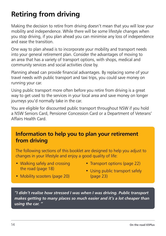## <span id="page-15-0"></span>Retiring from driving

Making the decision to retire from driving doesn't mean that you will lose your mobility and independence. While there will be some lifestyle changes when you stop driving, if you plan ahead you can minimise any loss of independence and ease the transition.

One way to plan ahead is to incorporate your mobility and transport needs into your general retirement plan. Consider the advantages of moving to an area that has a variety of transport options, with shops, medical and community services and social activities close by.

Planning ahead can provide financial advantages. By replacing some of your travel needs with public transport and taxi trips, you could save money on running your car.

Using public transport more often before you retire from driving is a great way to get used to the services in your local area and save money on longer journeys you'd normally take in the car.

You are eligible for discounted public transport throughout NSW if you hold a NSW Seniors Card, Pensioner Concession Card or a Department of Veterans' Affairs Health Card.

### Information to help you to plan your retirement from driving

The following sections of this booklet are designed to help you adjust to changes in your lifestyle and enjoy a good quality of life:

- Walking safely and crossing the road (page 18)
- Transport options (page 22)
- Mobility scooters (page 20)
- Using public transport safely (page 23)

*"I didn't realise how stressed I was when I was driving. Public transport makes getting to many places so much easier and it's a lot cheaper than using the car. "*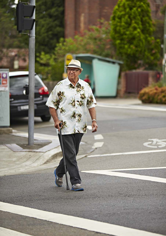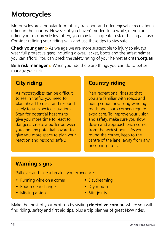## <span id="page-17-0"></span>**Motorcycles**

Motorcycles are a popular form of city transport and offer enjoyable recreational riding in the country. However, if you haven't ridden for a while, or you are riding your motorcycle less often, you may face a greater risk of having a crash. Consider refining your riding skills and use these tips to stay safe:

**Check your gear »** As we age we are more susceptible to injury so always wear full protective gear, including gloves, jacket, boots and the safest helmet you can afford. You can check the safety rating of your helmet at **crash.org.au**.

**Be a risk manager >>** When you ride there are things you can do to better manage your risk:

## City riding

As motorcyclists can be difficult to see in traffic, you need to plan ahead to react and respond safely to unexpected situations. Scan for potential hazards to give you more time to react to dangers. Create a buffer between you and any potential hazard to give you more space to plan your reaction and respond safely.

### Country riding

Plan recreational rides so that you are familiar with roads and riding conditions. Long winding roads and sharp corners require extra care. To improve your vision and safety, make sure you slow down and approach each corner from the widest point. As you round the corner, keep to the centre of the lane, away from any oncoming traffic.

### **Warning signs**

Pull over and take a break if you experience:

- Running wide on a corner
- Rough gear changes
- Missing a sign
- Daydreaming
- Dry mouth
- Stiff joints

Make the most of your next trip by visiting ridetolive.com.au where you will find riding, safety and first aid tips, plus a trip planner of great NSW rides.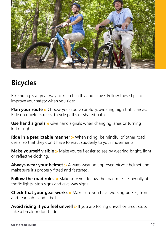<span id="page-18-0"></span>

## **Bicycles**

Bike riding is a great way to keep healthy and active. Follow these tips to improve your safety when you ride:

**Plan your route »** Choose your route carefully, avoiding high traffic areas. Ride on quieter streets, bicycle paths or shared paths.

Use hand signals » Give hand signals when changing lanes or turning left or right.

Ride in a predictable manner » When riding, be mindful of other road users, so that they don't have to react suddenly to your movements.

Make yourself visible » Make yourself easier to see by wearing bright, light or reflective clothing.

Always wear your helmet » Always wear an approved bicycle helmet and make sure it's properly fitted and fastened.

Follow the road rules » Make sure you follow the road rules, especially at traffic lights, stop signs and give way signs.

Check that your gear works **»** Make sure you have working brakes, front and rear lights and a bell.

Avoid riding if you feel unwell » If you are feeling unwell or tired, stop, take a break or don't ride.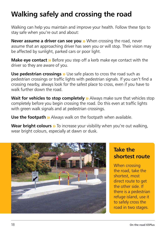## <span id="page-19-0"></span>Walking safely and crossing the road

Walking can help you maintain and improve your health. Follow these tips to stay safe when you're out and about:

Never assume a driver can see you » When crossing the road, never assume that an approaching driver has seen you or will stop. Their vision may be affected by sunlight, parked cars or poor light.

**Make eye contact »** Before you step off a kerb make eye contact with the driver so they are aware of you.

Use pedestrian crossings  $\boldsymbol{v}$  Use safe places to cross the road such as pedestrian crossings or traffic lights with pedestrian signals. If you can't find a crossing nearby, always look for the safest place to cross, even if you have to walk further down the road.

Wait for vehicles to stop completely » Always make sure that vehicles stop completely before you begin crossing the road. Do this even at traffic lights with green walk signals and at pedestrian crossings.

Use the footpath » Always walk on the footpath when available.

**Wear bright colours**  $\boldsymbol{v}$  To increase your visibility when you're out walking, wear bright colours, especially at dawn or dusk.



### Take the shortest route

When crossing the road, take the shortest, most direct route to get the other side. If there is a pedestrian refuge island, use it to safely cross the road in two stages.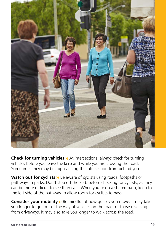

Check for turning vehicles » At intersections, always check for turning vehicles before you leave the kerb and while you are crossing the road. Sometimes they may be approaching the intersection from behind you.

Watch out for cyclists >> Be aware of cyclists using roads, footpaths or pathways in parks. Don't step off the kerb before checking for cyclists, as they can be more difficult to see than cars. When you're on a shared path, keep to the left side of the pathway to allow room for cyclists to pass.

**Consider your mobility »** Be mindful of how quickly you move. It may take you longer to get out of the way of vehicles on the road, or those reversing from driveways. It may also take you longer to walk across the road.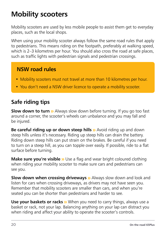## <span id="page-21-0"></span>Mobility scooters

Mobility scooters are used by less mobile people to assist them get to everyday places, such as the local shops.

When using your mobility scooter always follow the same road rules that apply to pedestrians. This means riding on the footpath, preferably at walking speed, which is 2–3 kilometres per hour. You should also cross the road at safe places, such as traffic lights with pedestrian signals and pedestrian crossings.

#### NSW road rules

- Mobility scooters must not travel at more than 10 kilometres per hour.
- You don't need a NSW driver licence to operate a mobility scooter.

## Safe riding tips

**Slow down to turn »** Always slow down before turning. If you go too fast around a corner, the scooter's wheels can unbalance and you may fall and be injured.

Be careful riding up or down steep hills » Avoid riding up and down steep hills unless it's necessary. Riding up steep hills can drain the battery. Riding down steep hills can put strain on the brakes. Be careful if you need to turn on a steep hill, as you can topple over easily. If possible, ride to a flat surface before turning.

Make sure you're visible » Use a flag and wear bright coloured clothing when riding your mobility scooter to make sure cars and pedestrians can see you.

**Slow down when crossing driveways »** Always slow down and look and listen for cars when crossing driveways, as drivers may not have seen you. Remember that mobility scooters are smaller than cars, and when you're seated you can be shorter than pedestrians and harder to see.

Use your baskets or racks » When you need to carry things, always use a basket or rack, not your lap. Balancing anything on your lap can distract you when riding and affect your ability to operate the scooter's controls.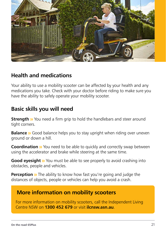

### Health and medications

Your ability to use a mobility scooter can be affected by your health and any medications you take. Check with your doctor before riding to make sure you have the ability to safely operate your mobility scooter.

### Basic skills you will need

**Strength »** You need a firm grip to hold the handlebars and steer around tight corners.

**Balance** » Good balance helps you to stay upright when riding over uneven ground or down a hill.

**Coordination »** You need to be able to quickly and correctly swap between using the accelerator and brake while steering at the same time.

**Good eyesight >>>** You must be able to see properly to avoid crashing into obstacles, people and vehicles.

**Perception**  $\lambda$  The ability to know how fast you're going and judge the distances of objects, people or vehicles can help you avoid a crash.

### More information on mobility scooters

For more information on mobility scooters, call the Independent Living Centre NSW on 1300 452 679 or visit ilcnsw.asn.au.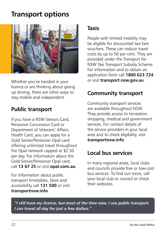## <span id="page-23-0"></span>Transport options



Whether you've handed in your licence or are thinking about giving up driving, there are other ways to stay mobile and independent.

### Public transport

If you have a NSW Seniors Card, Pensioner Concession Card or Department of Veterans' Affairs Health Card, you can apply for a Gold Senior/Pensioner Opal card offering unlimited travel throughout the Opal network capped at \$2.50 per day. For information about the Gold Senior/Pensioner Opal card, call 13 67 25 or visit opal.com.au.

For information about public transport timetables, fares and accessibility call 131 500 or visit transportnsw.info.

### **Taxis**

People with limited mobility may be eligible for discounted taxi fare vouchers. These can reduce travel costs by up to 50 per cent. They are provided under the Transport for NSW Taxi Transport Subsidy Scheme. For information and to obtain an application form call 1800 623 724 or visit transport.nsw.gov.au.

### Community transport

Community transport services are available throughout NSW. They provide access to recreation, shopping, medical and government services. For contact details of the service providers in your local area and to check eligibility, visit transportnsw.info.

### Local bus services

In many regional areas, local clubs and councils provide free or low-cost bus services. To find out more, call your local club or council or check their websites.

*"I still have my licence, but most of the time now, I use public transport. I can travel all day for just a few dollars."*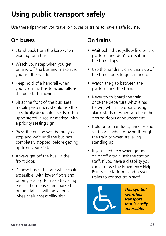## <span id="page-24-0"></span>Using public transport safely

Use these tips when you travel on buses or trains to have a safe journey:

## On buses

- Stand back from the kerb when waiting for a bus.
- Watch your step when you get on and off the bus and make sure you use the handrail.
- Keep hold of a handrail when you're on the bus to avoid falls as the bus starts moving.
- Sit at the front of the bus. Less mobile passengers should use the specifically designated seats, often upholstered in red or marked with a priority seating sign.
- Press the button well before your stop and wait until the bus has completely stopped before getting up from your seat.
- Always get off the bus via the front door.
- Choose buses that are wheelchair accessible, with lower floors and priority seating to make travelling easier. These buses are marked on timetables with an 'a' or a wheelchair accessibility sign.

## On trains

- Wait behind the yellow line on the platform and don't cross it until the train stops.
- Use the handrails on either side of the train doors to get on and off.
- Watch the gap between the platform and the train.
- Never try to board the train once the departure whistle has blown, when the door closing alarm starts or when you hear the closing doors announcement.
- Hold on to handrails, handles and seat backs when moving through the train or when travelling standing up.
- If you need help when getting on or off a train, ask the station staff. If you have a disability you can also use the Emergency Help Points on platforms and newer trains to contact train staff.

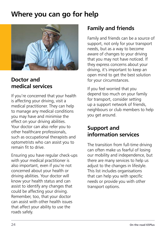## <span id="page-25-0"></span>Where you can go for help



## Doctor and medical services

If you're concerned that your health is affecting your driving, visit a medical practitioner. They can help to manage any medical conditions you may have and minimise the effect on your driving abilities. Your doctor can also refer you to other healthcare professionals, such as occupational therapists and optometrists who can assist you to remain fit to drive.

Ensuring you have regular check-ups with your medical practitioner is also important, even if you're not concerned about your health or driving abilities. Your doctor will know your health status and can assist to identify any changes that could be affecting your driving. Remember, too, that your doctor can assist with other health issues that affect your ability to use the roads safely.

## Family and friends

Family and friends can be a source of support, not only for your transport needs, but as a way to become aware of changes to your driving that you may not have noticed. If they express concerns about your driving, it's important to keep an open mind to get the best solution for your circumstances.

If you feel worried that you depend too much on your family for transport, consider setting up a support network of friends, neighbours or club members to help you get around.

### Support and information services

The transition from full-time driving can often make us fearful of losing our mobility and independence, but there are many services to help us adjust to the changes in lifestyle. This list includes organisations that can help you with specific needs or provide you with other transport options.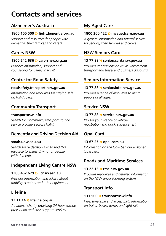## <span id="page-26-0"></span>Contacts and services

#### Alzheimer's Australia

#### 1800 100 500 >>> fightdementia.org.au

*Support and resources for people with dementia, their families and carers.*

#### Carers NSW

#### 1800 242 636 >> carersnsw.org.au

*Provides information, support and counselling for carers in NSW.*

#### Centre for Road Safety

#### roadsafety.transport.nsw.gov.au

*Information and resources for staying safe on NSW roads.*

#### Community Transport

#### transportnsw.info

*Search for 'community transport' to find service providers across NSW.*

#### Dementia and Driving Decision Aid

#### smah.uow.edu.au

*Search for 'a decision aid' to find this resource to assess driving for people with dementia.*

#### Independent Living Centre NSW

#### 1300 452 679 >> ilcnsw.asn.au

*Provides information and advice about mobility scooters and other equipment.*

#### Lifeline

#### 13 11 14 >> lifeline.org.au

*A national charity providing 24-hour suicide prevention and crisis support services.* 

#### My Aged Care

#### 1800 200 422 >> myagedcare.gov.au

*A general information and referral service for seniors, their families and carers.*

#### NSW Seniors Card

#### 13 77 88 >> seniorscard.nsw.gov.au

*Provides concessions on NSW Government transport and travel and business discounts.*

#### Seniors Information Service

#### 13 77 88 >> seniorsinfo.nsw.gov.au

*Provides a range of resources to assist seniors of all ages.*

#### Service NSW

#### 13 77 88 >> service.nsw.gov.au

*Pay for your licence or vehicle registration and book a licence test.*

#### Opal Card

#### 13 67 25 >>> opal.com.au

*Information on the Gold Senior/Pensioner Opal card.*

#### Roads and Maritime Services

#### 13 22 13 >> rms.nsw.gov.au

*Provides resources and detailed information on the NSW driver licensing system.*

#### Transport Info

#### 131 500 >> transportnsw.info

*Fare, timetable and accessibility information on trains, buses, ferries and light rail.*